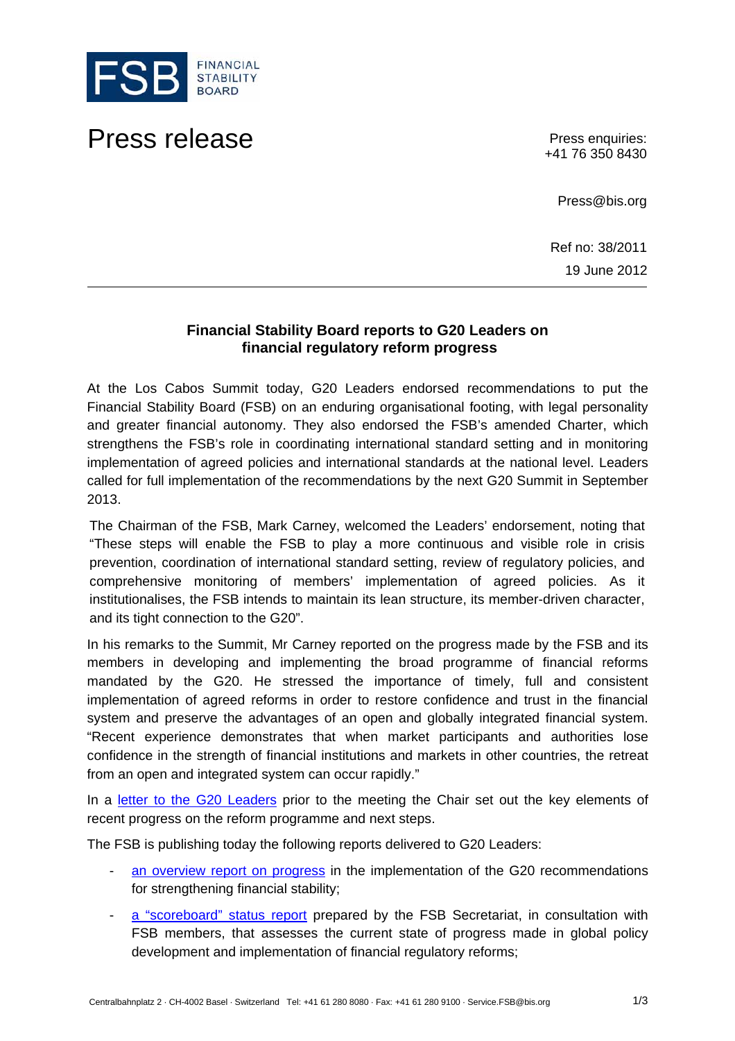

## Press release **Press enquiries:**

+41 76 350 8430

Press@bis.org

Ref no: 38/2011 19 June 2012

## **Financial Stability Board reports to G20 Leaders on financial regulatory reform progress**

At the Los Cabos Summit today, G20 Leaders endorsed recommendations to put the Financial Stability Board (FSB) on an enduring organisational footing, with legal personality and greater financial autonomy. They also endorsed the FSB's amended Charter, which strengthens the FSB's role in coordinating international standard setting and in monitoring implementation of agreed policies and international standards at the national level. Leaders called for full implementation of the recommendations by the next G20 Summit in September 2013.

The Chairman of the FSB, Mark Carney, welcomed the Leaders' endorsement, noting that "These steps will enable the FSB to play a more continuous and visible role in crisis prevention, coordination of international standard setting, review of regulatory policies, and comprehensive monitoring of members' implementation of agreed policies. As it institutionalises, the FSB intends to maintain its lean structure, its member-driven character, and its tight connection to the G20".

In his remarks to the Summit, Mr Carney reported on the progress made by the FSB and its members in developing and implementing the broad programme of financial reforms mandated by the G20. He stressed the importance of timely, full and consistent implementation of agreed reforms in order to restore confidence and trust in the financial system and preserve the advantages of an open and globally integrated financial system. "Recent experience demonstrates that when market participants and authorities lose confidence in the strength of financial institutions and markets in other countries, the retreat from an open and integrated system can occur rapidly."

In a [letter to the G20 Leaders](http://www.financialstabilityboard.org/publications/r_120619d.pdf) prior to the meeting the Chair set out the key elements of recent progress on the reform programme and next steps.

The FSB is publishing today the following reports delivered to G20 Leaders:

- [an overview report on progress](http://www.financialstabilityboard.org/publications/r_120619a.pdf) in the implementation of the G20 recommendations for strengthening financial stability;
- [a "scoreboard" status report](http://www.financialstabilityboard.org/publications/r_120619b.pdf) prepared by the FSB Secretariat, in consultation with FSB members, that assesses the current state of progress made in global policy development and implementation of financial regulatory reforms;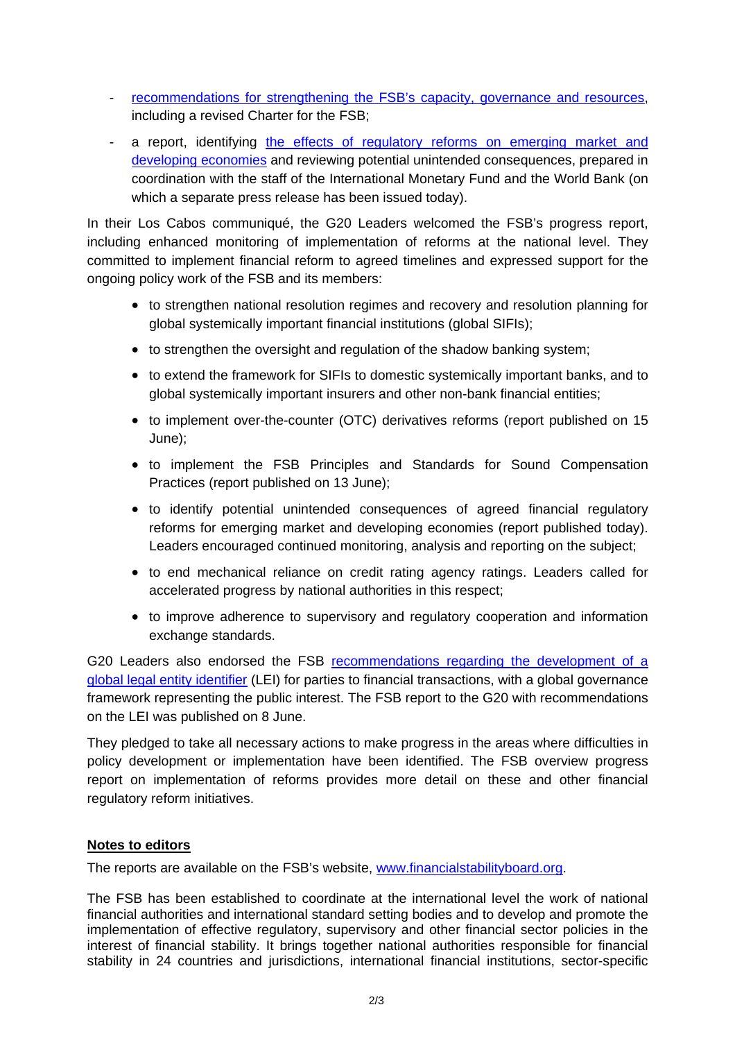- [recommendations for strengthening the FSB's capacity, governance and resources,](http://www.financialstabilityboard.org/publications/r_120619c.pdf) including a revised Charter for the FSB;
- a report, identifying [the effects of regulatory reforms on emerging market and](http://www.financialstabilityboard.org/publications/r_120619e.pdf)  [developing economies](http://www.financialstabilityboard.org/publications/r_120619e.pdf) and reviewing potential unintended consequences, prepared in coordination with the staff of the International Monetary Fund and the World Bank (on which a separate press release has been issued today).

In their Los Cabos communiqué, the G20 Leaders welcomed the FSB's progress report, including enhanced monitoring of implementation of reforms at the national level. They committed to implement financial reform to agreed timelines and expressed support for the ongoing policy work of the FSB and its members:

- to strengthen national resolution regimes and recovery and resolution planning for global systemically important financial institutions (global SIFIs);
- to strengthen the oversight and regulation of the shadow banking system;
- to extend the framework for SIFIs to domestic systemically important banks, and to global systemically important insurers and other non-bank financial entities;
- to implement over-the-counter (OTC) derivatives reforms (report published on 15 June);
- to implement the FSB Principles and Standards for Sound Compensation Practices (report published on 13 June);
- to identify potential unintended consequences of agreed financial regulatory reforms for emerging market and developing economies (report published today). Leaders encouraged continued monitoring, analysis and reporting on the subject;
- to end mechanical reliance on credit rating agency ratings. Leaders called for accelerated progress by national authorities in this respect;
- to improve adherence to supervisory and regulatory cooperation and information exchange standards.

G20 Leaders also endorsed the FSB [recommendations regarding the development of a](http://www.financialstabilityboard.org/publications/r_120608.pdf)  [global legal entity identifier](http://www.financialstabilityboard.org/publications/r_120608.pdf) (LEI) for parties to financial transactions, with a global governance framework representing the public interest. The FSB report to the G20 with recommendations on the LEI was published on 8 June.

They pledged to take all necessary actions to make progress in the areas where difficulties in policy development or implementation have been identified. The FSB overview progress report on implementation of reforms provides more detail on these and other financial regulatory reform initiatives.

## **Notes to editors**

The reports are available on the FSB's website, [www.financialstabilityboard.org.](http://www.financialstabilityboard.org/)

The FSB has been established to coordinate at the international level the work of national financial authorities and international standard setting bodies and to develop and promote the implementation of effective regulatory, supervisory and other financial sector policies in the interest of financial stability. It brings together national authorities responsible for financial stability in 24 countries and jurisdictions, international financial institutions, sector-specific